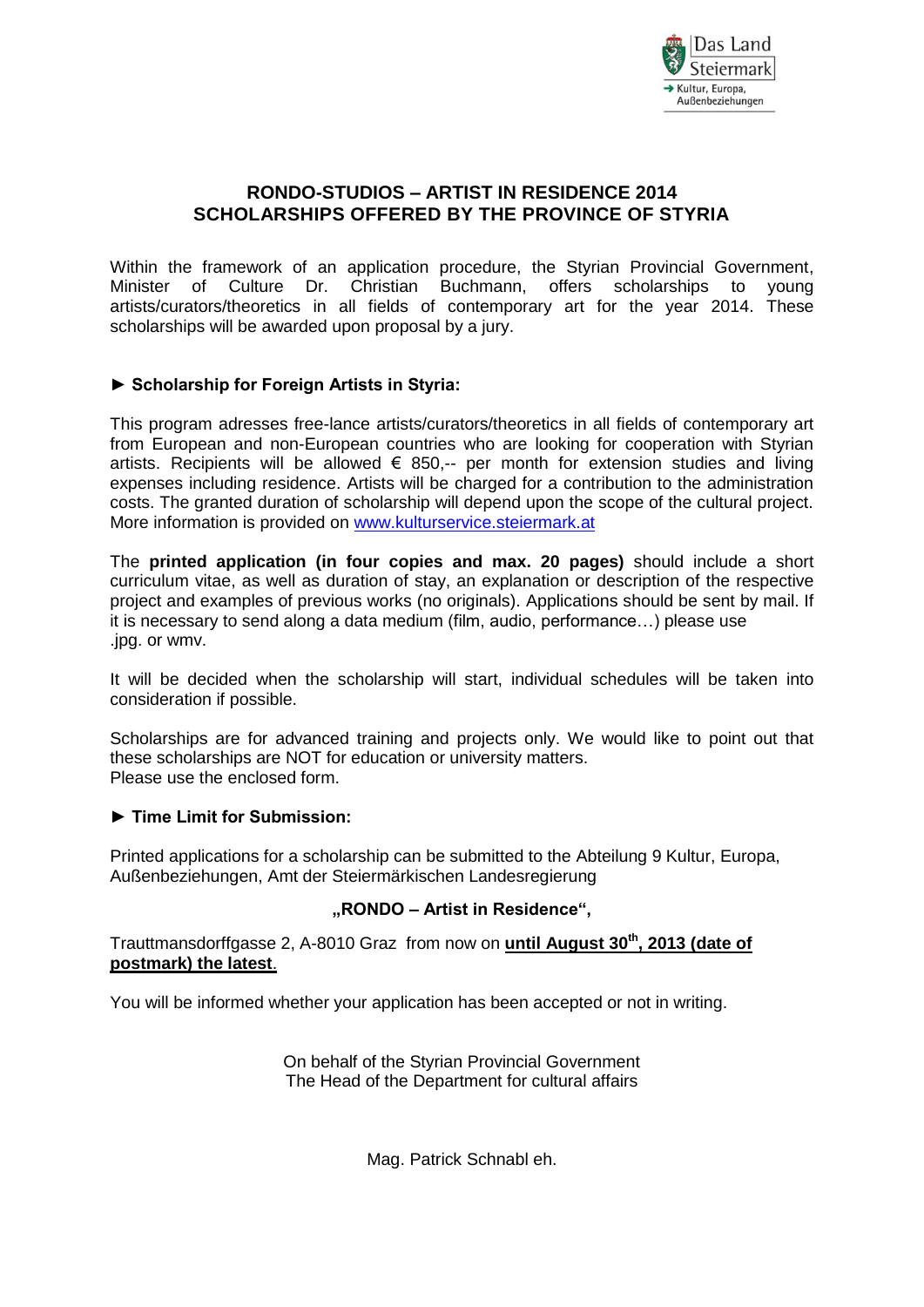

# **RONDO-STUDIOS – ARTIST IN RESIDENCE 2014 SCHOLARSHIPS OFFERED BY THE PROVINCE OF STYRIA**

Within the framework of an application procedure, the Styrian Provincial Government, Minister of Culture Dr. Christian Buchmann, offers scholarships to young artists/curators/theoretics in all fields of contemporary art for the year 2014. These scholarships will be awarded upon proposal by a jury.

## **► Scholarship for Foreign Artists in Styria:**

This program adresses free-lance artists/curators/theoretics in all fields of contemporary art from European and non-European countries who are looking for cooperation with Styrian artists. Recipients will be allowed  $\epsilon$  850,-- per month for extension studies and living expenses including residence. Artists will be charged for a contribution to the administration costs. The granted duration of scholarship will depend upon the scope of the cultural project. More information is provided on [www.kulturservice.steiermark.at](http://www.kulturservice.steiermark.at/)

The **printed application (in four copies and max. 20 pages)** should include a short curriculum vitae, as well as duration of stay, an explanation or description of the respective project and examples of previous works (no originals). Applications should be sent by mail. If it is necessary to send along a data medium (film, audio, performance…) please use .jpg. or wmv.

It will be decided when the scholarship will start, individual schedules will be taken into consideration if possible.

Scholarships are for advanced training and projects only. We would like to point out that these scholarships are NOT for education or university matters. Please use the enclosed form.

#### **► Time Limit for Submission:**

Printed applications for a scholarship can be submitted to the Abteilung 9 Kultur, Europa, Außenbeziehungen, Amt der Steiermärkischen Landesregierung

#### **"RONDO – Artist in Residence",**

Trauttmansdorffgasse 2, A-8010 Graz from now on **until August 30th, 2013 (date of postmark) the latest**.

You will be informed whether your application has been accepted or not in writing.

On behalf of the Styrian Provincial Government The Head of the Department for cultural affairs

Mag. Patrick Schnabl eh.